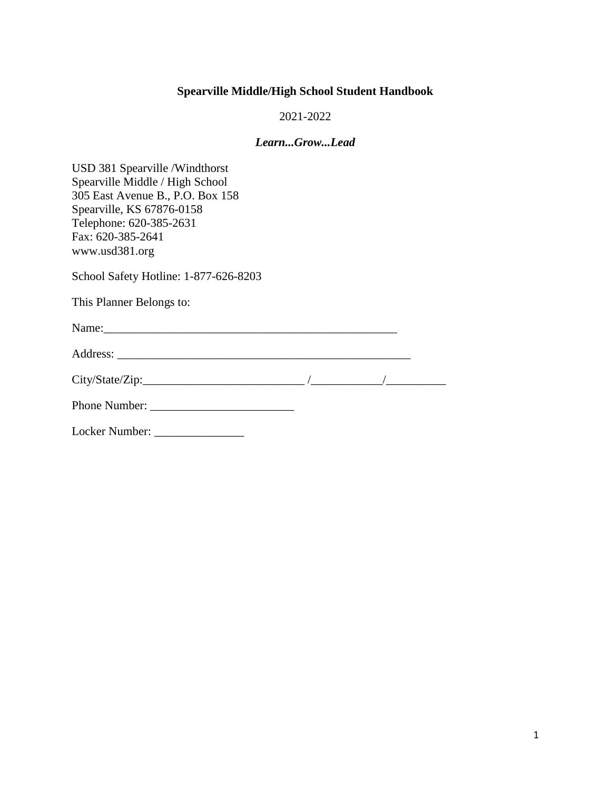### **Spearville Middle/High School Student Handbook**

2021-2022

#### *Learn...Grow...Lead*

USD 381 Spearville /Windthorst Spearville Middle / High School 305 East Avenue B., P.O. Box 158 Spearville, KS 67876-0158 Telephone: 620-385-2631 Fax: 620-385-2641 www.usd381.org

School Safety Hotline: 1-877-626-8203

This Planner Belongs to:

| ٦T<br>◝<br>$\cdots$ |  |  |  |  |
|---------------------|--|--|--|--|
|                     |  |  |  |  |

Address: \_\_\_\_\_\_\_\_\_\_\_\_\_\_\_\_\_\_\_\_\_\_\_\_\_\_\_\_\_\_\_\_\_\_\_\_\_\_\_\_\_\_\_\_\_\_\_\_\_

| City/State/Zip: |  |  |
|-----------------|--|--|
|                 |  |  |
|                 |  |  |

Phone Number: \_\_\_\_\_\_\_\_\_\_\_\_\_\_\_\_\_\_\_\_\_\_\_\_

Locker Number: \_\_\_\_\_\_\_\_\_\_\_\_\_\_\_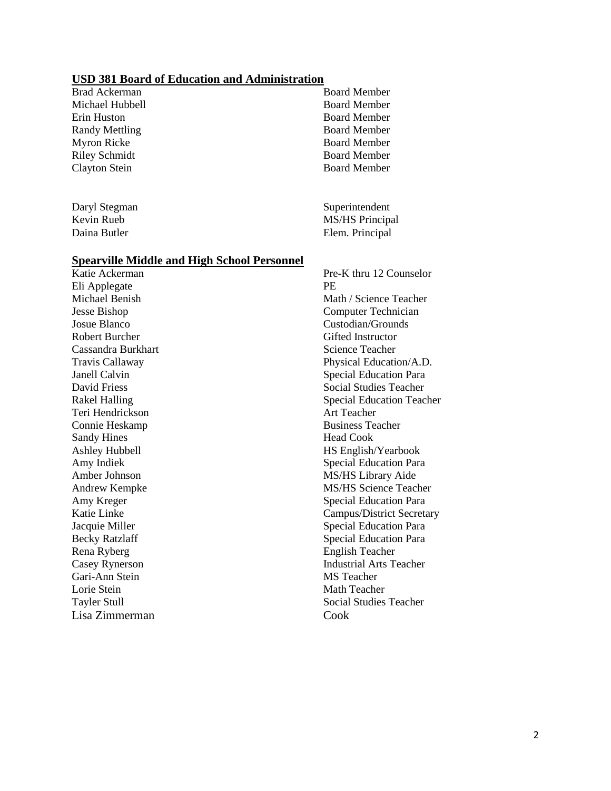#### **USD 381 Board of Education and Administration**

Brad Ackerman Board Member Michael Hubbell Board Member Erin Huston Board Member Randy Mettling Board Member Myron Ricke Board Member Riley Schmidt Board Member Clayton Stein Board Member

#### **Spearville Middle and High School Personnel**

Eli Applegate PE Jesse Bishop Computer Technician Josue Blanco Custodian/Grounds Robert Burcher Gifted Instructor Cassandra Burkhart Science Teacher Teri Hendrickson Art Teacher Connie Heskamp Business Teacher Sandy Hines Head Cook Amber Johnson MS/HS Library Aide Rena Ryberg English Teacher Gari-Ann Stein MS Teacher Lorie Stein Math Teacher Lisa Zimmerman Cook

Daryl Stegman Superintendent Kevin Rueb MS/HS Principal Daina Butler Elem. Principal

Katie Ackerman Pre-K thru 12 Counselor Michael Benish Math / Science Teacher Travis Callaway Physical Education/A.D. Janell Calvin Special Education Para David Friess Social Studies Teacher Rakel Halling Special Education Teacher Ashley Hubbell HS English/Yearbook Amy Indiek Special Education Para Andrew Kempke MS/HS Science Teacher Amy Kreger Special Education Para Katie Linke Campus/District Secretary Jacquie Miller Special Education Para Becky Ratzlaff Special Education Para Casey Rynerson Industrial Arts Teacher Tayler Stull Social Studies Teacher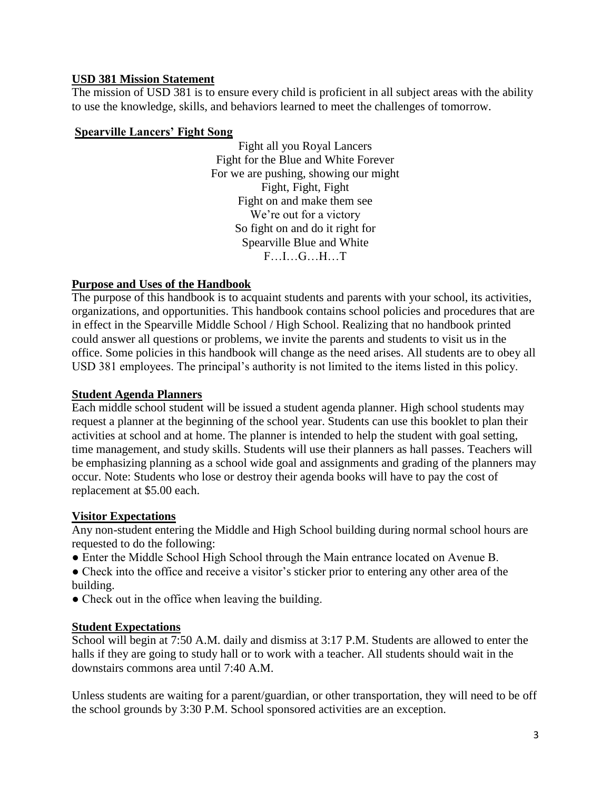### **USD 381 Mission Statement**

The mission of USD 381 is to ensure every child is proficient in all subject areas with the ability to use the knowledge, skills, and behaviors learned to meet the challenges of tomorrow.

#### **Spearville Lancers' Fight Song**

Fight all you Royal Lancers Fight for the Blue and White Forever For we are pushing, showing our might Fight, Fight, Fight Fight on and make them see We're out for a victory So fight on and do it right for Spearville Blue and White F<sub>L</sub>G<sub>H</sub>T

# **Purpose and Uses of the Handbook**

The purpose of this handbook is to acquaint students and parents with your school, its activities, organizations, and opportunities. This handbook contains school policies and procedures that are in effect in the Spearville Middle School / High School. Realizing that no handbook printed could answer all questions or problems, we invite the parents and students to visit us in the office. Some policies in this handbook will change as the need arises. All students are to obey all USD 381 employees. The principal's authority is not limited to the items listed in this policy.

#### **Student Agenda Planners**

Each middle school student will be issued a student agenda planner. High school students may request a planner at the beginning of the school year. Students can use this booklet to plan their activities at school and at home. The planner is intended to help the student with goal setting, time management, and study skills. Students will use their planners as hall passes. Teachers will be emphasizing planning as a school wide goal and assignments and grading of the planners may occur. Note: Students who lose or destroy their agenda books will have to pay the cost of replacement at \$5.00 each.

#### **Visitor Expectations**

Any non-student entering the Middle and High School building during normal school hours are requested to do the following:

- Enter the Middle School High School through the Main entrance located on Avenue B.
- Check into the office and receive a visitor's sticker prior to entering any other area of the building.
- Check out in the office when leaving the building.

# **Student Expectations**

School will begin at 7:50 A.M. daily and dismiss at 3:17 P.M. Students are allowed to enter the halls if they are going to study hall or to work with a teacher. All students should wait in the downstairs commons area until 7:40 A.M.

Unless students are waiting for a parent/guardian, or other transportation, they will need to be off the school grounds by 3:30 P.M. School sponsored activities are an exception.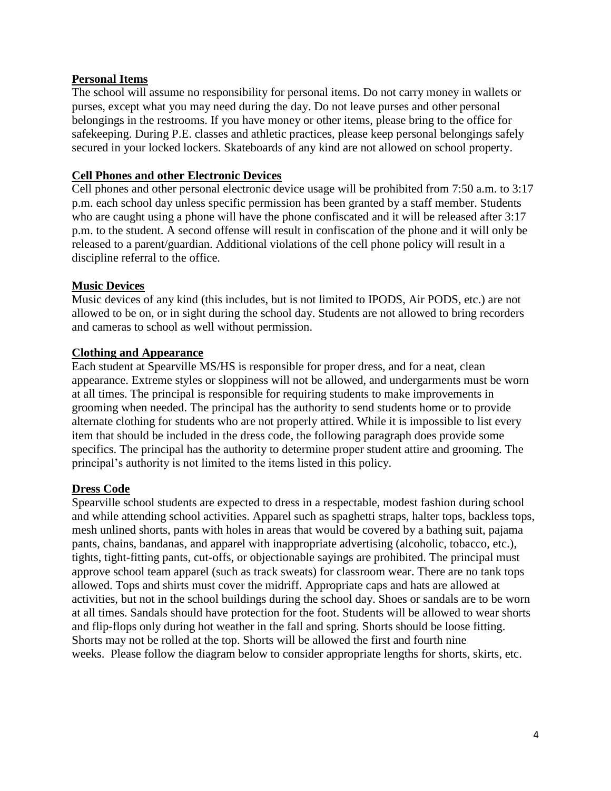### **Personal Items**

The school will assume no responsibility for personal items. Do not carry money in wallets or purses, except what you may need during the day. Do not leave purses and other personal belongings in the restrooms. If you have money or other items, please bring to the office for safekeeping. During P.E. classes and athletic practices, please keep personal belongings safely secured in your locked lockers. Skateboards of any kind are not allowed on school property.

### **Cell Phones and other Electronic Devices**

Cell phones and other personal electronic device usage will be prohibited from 7:50 a.m. to 3:17 p.m. each school day unless specific permission has been granted by a staff member. Students who are caught using a phone will have the phone confiscated and it will be released after 3:17 p.m. to the student. A second offense will result in confiscation of the phone and it will only be released to a parent/guardian. Additional violations of the cell phone policy will result in a discipline referral to the office.

### **Music Devices**

Music devices of any kind (this includes, but is not limited to IPODS, Air PODS, etc.) are not allowed to be on, or in sight during the school day. Students are not allowed to bring recorders and cameras to school as well without permission.

### **Clothing and Appearance**

Each student at Spearville MS/HS is responsible for proper dress, and for a neat, clean appearance. Extreme styles or sloppiness will not be allowed, and undergarments must be worn at all times. The principal is responsible for requiring students to make improvements in grooming when needed. The principal has the authority to send students home or to provide alternate clothing for students who are not properly attired. While it is impossible to list every item that should be included in the dress code, the following paragraph does provide some specifics. The principal has the authority to determine proper student attire and grooming. The principal's authority is not limited to the items listed in this policy.

# **Dress Code**

Spearville school students are expected to dress in a respectable, modest fashion during school and while attending school activities. Apparel such as spaghetti straps, halter tops, backless tops, mesh unlined shorts, pants with holes in areas that would be covered by a bathing suit, pajama pants, chains, bandanas, and apparel with inappropriate advertising (alcoholic, tobacco, etc.), tights, tight-fitting pants, cut-offs, or objectionable sayings are prohibited. The principal must approve school team apparel (such as track sweats) for classroom wear. There are no tank tops allowed. Tops and shirts must cover the midriff. Appropriate caps and hats are allowed at activities, but not in the school buildings during the school day. Shoes or sandals are to be worn at all times. Sandals should have protection for the foot. Students will be allowed to wear shorts and flip-flops only during hot weather in the fall and spring. Shorts should be loose fitting. Shorts may not be rolled at the top. Shorts will be allowed the first and fourth nine weeks. Please follow the diagram below to consider appropriate lengths for shorts, skirts, etc.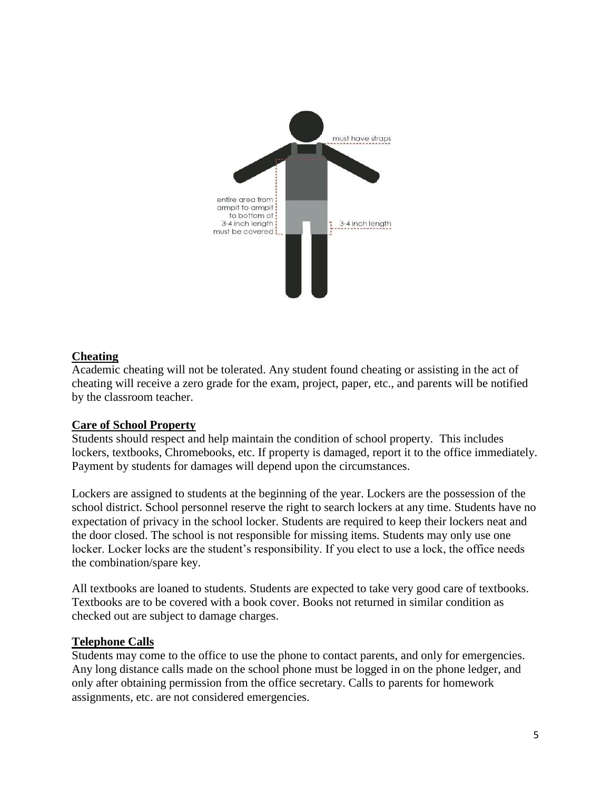

# **Cheating**

Academic cheating will not be tolerated. Any student found cheating or assisting in the act of cheating will receive a zero grade for the exam, project, paper, etc., and parents will be notified by the classroom teacher.

# **Care of School Property**

Students should respect and help maintain the condition of school property. This includes lockers, textbooks, Chromebooks, etc. If property is damaged, report it to the office immediately. Payment by students for damages will depend upon the circumstances.

Lockers are assigned to students at the beginning of the year. Lockers are the possession of the school district. School personnel reserve the right to search lockers at any time. Students have no expectation of privacy in the school locker. Students are required to keep their lockers neat and the door closed. The school is not responsible for missing items. Students may only use one locker. Locker locks are the student's responsibility. If you elect to use a lock, the office needs the combination/spare key.

All textbooks are loaned to students. Students are expected to take very good care of textbooks. Textbooks are to be covered with a book cover. Books not returned in similar condition as checked out are subject to damage charges.

#### **Telephone Calls**

Students may come to the office to use the phone to contact parents, and only for emergencies. Any long distance calls made on the school phone must be logged in on the phone ledger, and only after obtaining permission from the office secretary. Calls to parents for homework assignments, etc. are not considered emergencies.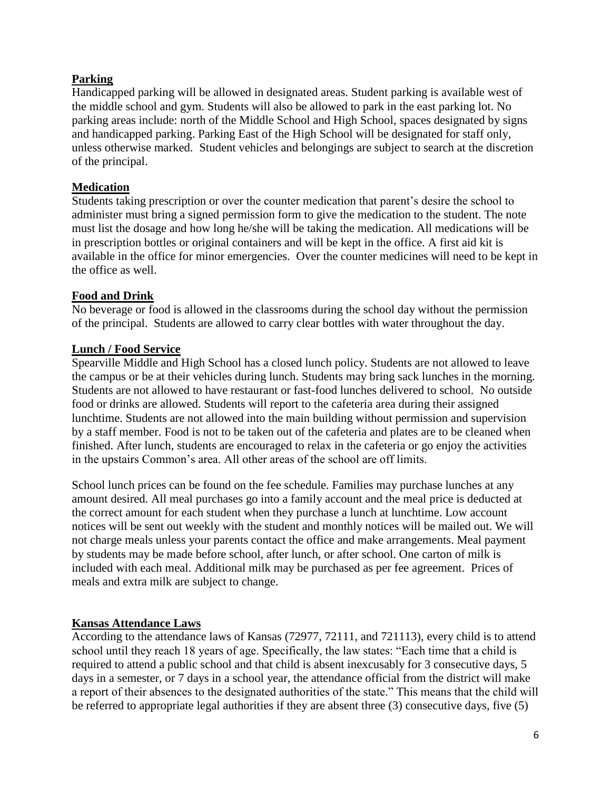# **Parking**

Handicapped parking will be allowed in designated areas. Student parking is available west of the middle school and gym. Students will also be allowed to park in the east parking lot. No parking areas include: north of the Middle School and High School*,* spaces designated by signs and handicapped parking. Parking East of the High School will be designated for staff only, unless otherwise marked. Student vehicles and belongings are subject to search at the discretion of the principal.

### **Medication**

Students taking prescription or over the counter medication that parent's desire the school to administer must bring a signed permission form to give the medication to the student. The note must list the dosage and how long he/she will be taking the medication. All medications will be in prescription bottles or original containers and will be kept in the office. A first aid kit is available in the office for minor emergencies. Over the counter medicines will need to be kept in the office as well.

### **Food and Drink**

No beverage or food is allowed in the classrooms during the school day without the permission of the principal. Students are allowed to carry clear bottles with water throughout the day.

### **Lunch / Food Service**

Spearville Middle and High School has a closed lunch policy. Students are not allowed to leave the campus or be at their vehicles during lunch. Students may bring sack lunches in the morning. Students are not allowed to have restaurant or fast-food lunches delivered to school. No outside food or drinks are allowed. Students will report to the cafeteria area during their assigned lunchtime. Students are not allowed into the main building without permission and supervision by a staff member. Food is not to be taken out of the cafeteria and plates are to be cleaned when finished. After lunch, students are encouraged to relax in the cafeteria or go enjoy the activities in the upstairs Common's area. All other areas of the school are off limits.

School lunch prices can be found on the fee schedule. Families may purchase lunches at any amount desired. All meal purchases go into a family account and the meal price is deducted at the correct amount for each student when they purchase a lunch at lunchtime. Low account notices will be sent out weekly with the student and monthly notices will be mailed out. We will not charge meals unless your parents contact the office and make arrangements. Meal payment by students may be made before school, after lunch, or after school. One carton of milk is included with each meal. Additional milk may be purchased as per fee agreement. Prices of meals and extra milk are subject to change.

# **Kansas Attendance Laws**

According to the attendance laws of Kansas (72977, 72111, and 721113), every child is to attend school until they reach 18 years of age. Specifically, the law states: "Each time that a child is required to attend a public school and that child is absent inexcusably for 3 consecutive days, 5 days in a semester, or 7 days in a school year, the attendance official from the district will make a report of their absences to the designated authorities of the state." This means that the child will be referred to appropriate legal authorities if they are absent three (3) consecutive days, five (5)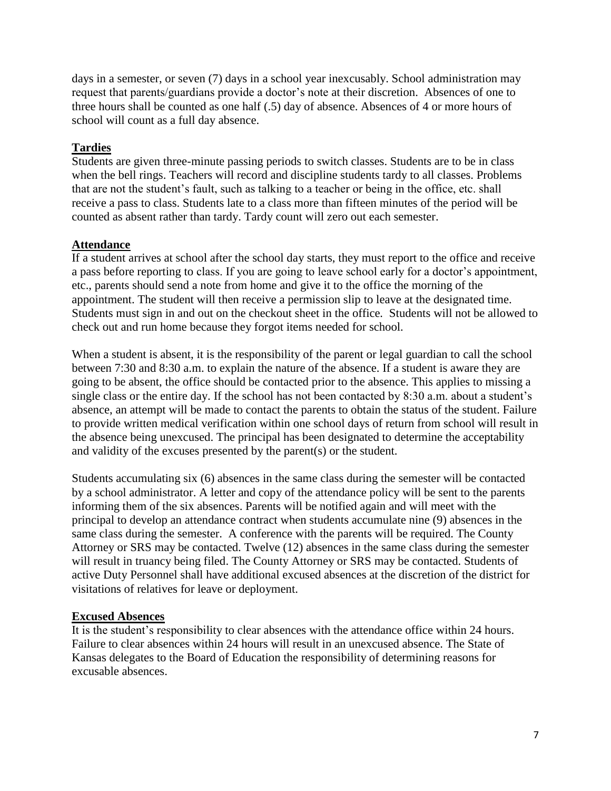days in a semester, or seven (7) days in a school year inexcusably. School administration may request that parents/guardians provide a doctor's note at their discretion. Absences of one to three hours shall be counted as one half (.5) day of absence. Absences of 4 or more hours of school will count as a full day absence.

# **Tardies**

Students are given three-minute passing periods to switch classes. Students are to be in class when the bell rings. Teachers will record and discipline students tardy to all classes. Problems that are not the student's fault, such as talking to a teacher or being in the office, etc. shall receive a pass to class. Students late to a class more than fifteen minutes of the period will be counted as absent rather than tardy. Tardy count will zero out each semester.

# **Attendance**

If a student arrives at school after the school day starts, they must report to the office and receive a pass before reporting to class. If you are going to leave school early for a doctor's appointment, etc., parents should send a note from home and give it to the office the morning of the appointment. The student will then receive a permission slip to leave at the designated time. Students must sign in and out on the checkout sheet in the office*.* Students will not be allowed to check out and run home because they forgot items needed for school*.*

When a student is absent, it is the responsibility of the parent or legal guardian to call the school between 7:30 and 8:30 a.m. to explain the nature of the absence. If a student is aware they are going to be absent, the office should be contacted prior to the absence. This applies to missing a single class or the entire day. If the school has not been contacted by 8:30 a.m. about a student's absence, an attempt will be made to contact the parents to obtain the status of the student. Failure to provide written medical verification within one school days of return from school will result in the absence being unexcused. The principal has been designated to determine the acceptability and validity of the excuses presented by the parent(s) or the student.

Students accumulating six (6) absences in the same class during the semester will be contacted by a school administrator. A letter and copy of the attendance policy will be sent to the parents informing them of the six absences. Parents will be notified again and will meet with the principal to develop an attendance contract when students accumulate nine (9) absences in the same class during the semester. A conference with the parents will be required. The County Attorney or SRS may be contacted. Twelve (12) absences in the same class during the semester will result in truancy being filed. The County Attorney or SRS may be contacted. Students of active Duty Personnel shall have additional excused absences at the discretion of the district for visitations of relatives for leave or deployment.

# **Excused Absences**

It is the student's responsibility to clear absences with the attendance office within 24 hours. Failure to clear absences within 24 hours will result in an unexcused absence. The State of Kansas delegates to the Board of Education the responsibility of determining reasons for excusable absences.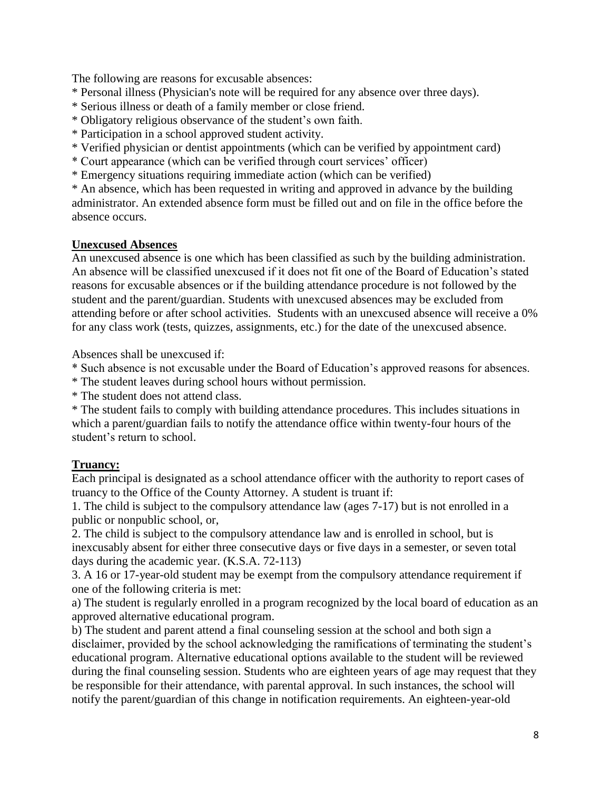The following are reasons for excusable absences:

- \* Personal illness (Physician's note will be required for any absence over three days).
- \* Serious illness or death of a family member or close friend.
- \* Obligatory religious observance of the student's own faith.
- \* Participation in a school approved student activity.
- \* Verified physician or dentist appointments (which can be verified by appointment card)
- \* Court appearance (which can be verified through court services' officer)
- \* Emergency situations requiring immediate action (which can be verified)

\* An absence, which has been requested in writing and approved in advance by the building administrator. An extended absence form must be filled out and on file in the office before the absence occurs.

### **Unexcused Absences**

An unexcused absence is one which has been classified as such by the building administration. An absence will be classified unexcused if it does not fit one of the Board of Education's stated reasons for excusable absences or if the building attendance procedure is not followed by the student and the parent/guardian. Students with unexcused absences may be excluded from attending before or after school activities. Students with an unexcused absence will receive a 0% for any class work (tests, quizzes, assignments, etc.) for the date of the unexcused absence.

Absences shall be unexcused if:

\* Such absence is not excusable under the Board of Education's approved reasons for absences.

\* The student leaves during school hours without permission.

\* The student does not attend class.

\* The student fails to comply with building attendance procedures. This includes situations in which a parent/guardian fails to notify the attendance office within twenty-four hours of the student's return to school.

# **Truancy:**

Each principal is designated as a school attendance officer with the authority to report cases of truancy to the Office of the County Attorney. A student is truant if:

1. The child is subject to the compulsory attendance law (ages 7-17) but is not enrolled in a public or nonpublic school, or,

2. The child is subject to the compulsory attendance law and is enrolled in school, but is inexcusably absent for either three consecutive days or five days in a semester, or seven total days during the academic year. (K.S.A. 72-113)

3. A 16 or 17-year-old student may be exempt from the compulsory attendance requirement if one of the following criteria is met:

a) The student is regularly enrolled in a program recognized by the local board of education as an approved alternative educational program.

b) The student and parent attend a final counseling session at the school and both sign a disclaimer, provided by the school acknowledging the ramifications of terminating the student's educational program. Alternative educational options available to the student will be reviewed during the final counseling session. Students who are eighteen years of age may request that they be responsible for their attendance, with parental approval. In such instances, the school will notify the parent/guardian of this change in notification requirements. An eighteen-year-old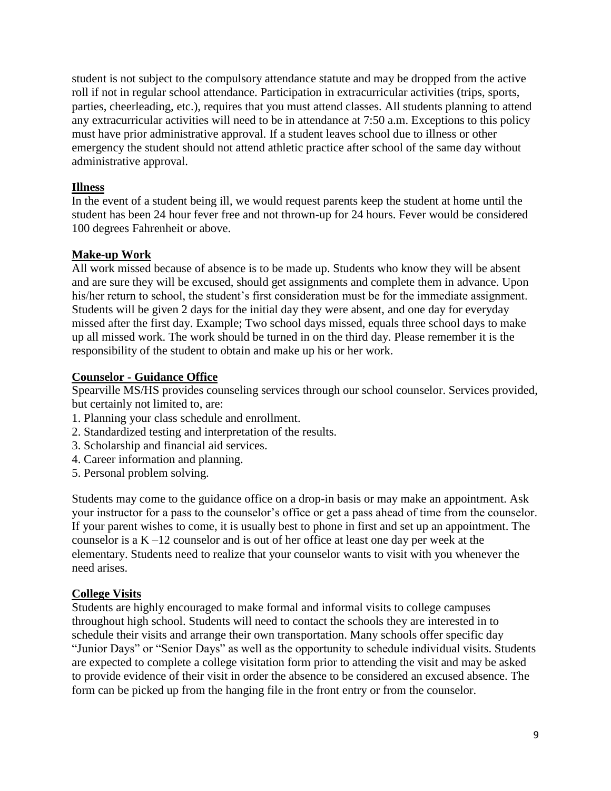student is not subject to the compulsory attendance statute and may be dropped from the active roll if not in regular school attendance. Participation in extracurricular activities (trips, sports, parties, cheerleading, etc.), requires that you must attend classes. All students planning to attend any extracurricular activities will need to be in attendance at 7:50 a.m. Exceptions to this policy must have prior administrative approval. If a student leaves school due to illness or other emergency the student should not attend athletic practice after school of the same day without administrative approval.

### **Illness**

In the event of a student being ill, we would request parents keep the student at home until the student has been 24 hour fever free and not thrown-up for 24 hours. Fever would be considered 100 degrees Fahrenheit or above.

#### **Make-up Work**

All work missed because of absence is to be made up. Students who know they will be absent and are sure they will be excused, should get assignments and complete them in advance. Upon his/her return to school, the student's first consideration must be for the immediate assignment. Students will be given 2 days for the initial day they were absent, and one day for everyday missed after the first day. Example; Two school days missed, equals three school days to make up all missed work. The work should be turned in on the third day. Please remember it is the responsibility of the student to obtain and make up his or her work.

### **Counselor - Guidance Office**

Spearville MS/HS provides counseling services through our school counselor. Services provided, but certainly not limited to, are:

- 1. Planning your class schedule and enrollment.
- 2. Standardized testing and interpretation of the results.
- 3. Scholarship and financial aid services.
- 4. Career information and planning.
- 5. Personal problem solving.

Students may come to the guidance office on a drop-in basis or may make an appointment. Ask your instructor for a pass to the counselor's office or get a pass ahead of time from the counselor. If your parent wishes to come, it is usually best to phone in first and set up an appointment. The counselor is a K –12 counselor and is out of her office at least one day per week at the elementary. Students need to realize that your counselor wants to visit with you whenever the need arises.

# **College Visits**

Students are highly encouraged to make formal and informal visits to college campuses throughout high school. Students will need to contact the schools they are interested in to schedule their visits and arrange their own transportation. Many schools offer specific day "Junior Days" or "Senior Days" as well as the opportunity to schedule individual visits. Students are expected to complete a college visitation form prior to attending the visit and may be asked to provide evidence of their visit in order the absence to be considered an excused absence. The form can be picked up from the hanging file in the front entry or from the counselor.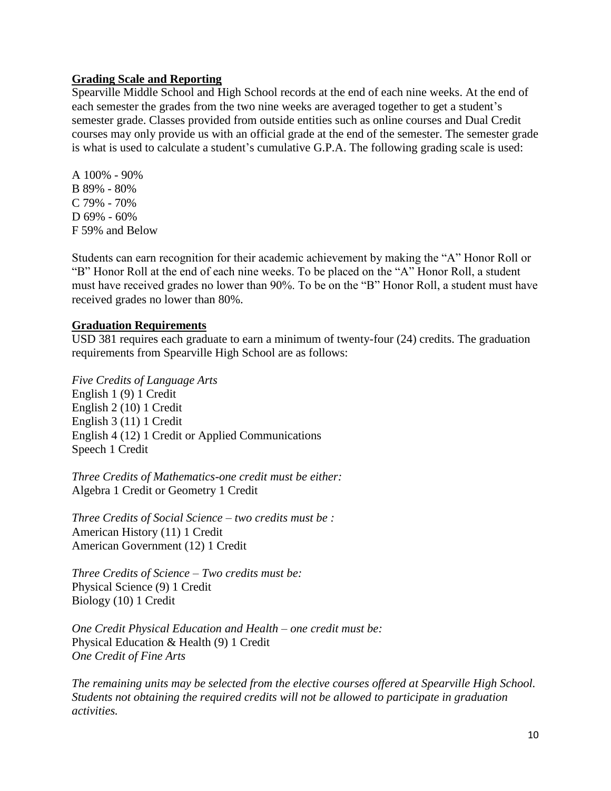### **Grading Scale and Reporting**

Spearville Middle School and High School records at the end of each nine weeks. At the end of each semester the grades from the two nine weeks are averaged together to get a student's semester grade. Classes provided from outside entities such as online courses and Dual Credit courses may only provide us with an official grade at the end of the semester. The semester grade is what is used to calculate a student's cumulative G.P.A. The following grading scale is used:

A 100% - 90% B 89% - 80% C 79% - 70% D 69% - 60% F 59% and Below

Students can earn recognition for their academic achievement by making the "A" Honor Roll or "B" Honor Roll at the end of each nine weeks. To be placed on the "A" Honor Roll, a student must have received grades no lower than 90%. To be on the "B" Honor Roll, a student must have received grades no lower than 80%.

#### **Graduation Requirements**

USD 381 requires each graduate to earn a minimum of twenty-four (24) credits. The graduation requirements from Spearville High School are as follows:

*Five Credits of Language Arts* English 1 (9) 1 Credit English 2 (10) 1 Credit English 3 (11) 1 Credit English 4 (12) 1 Credit or Applied Communications Speech 1 Credit

*Three Credits of Mathematics-one credit must be either:* Algebra 1 Credit or Geometry 1 Credit

*Three Credits of Social Science – two credits must be :* American History (11) 1 Credit American Government (12) 1 Credit

*Three Credits of Science – Two credits must be:* Physical Science (9) 1 Credit Biology (10) 1 Credit

*One Credit Physical Education and Health – one credit must be:* Physical Education & Health (9) 1 Credit *One Credit of Fine Arts*

*The remaining units may be selected from the elective courses offered at Spearville High School. Students not obtaining the required credits will not be allowed to participate in graduation activities.*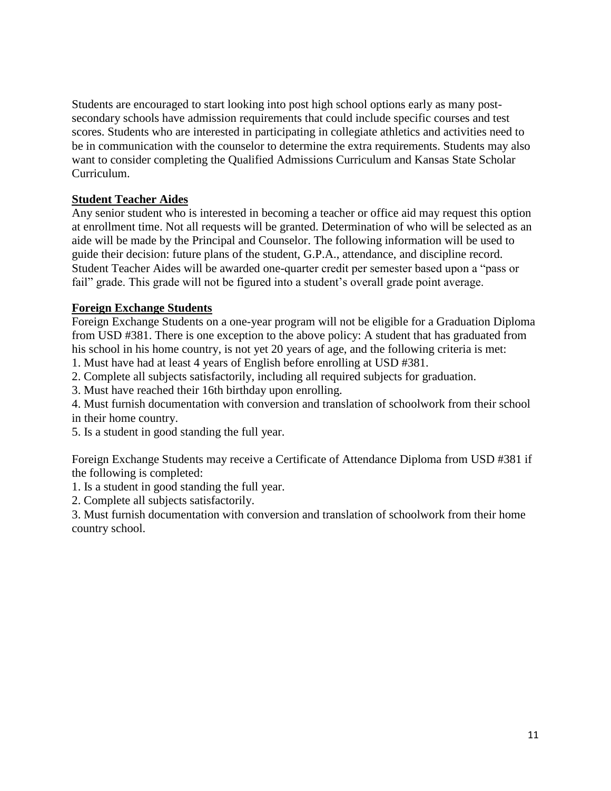Students are encouraged to start looking into post high school options early as many postsecondary schools have admission requirements that could include specific courses and test scores. Students who are interested in participating in collegiate athletics and activities need to be in communication with the counselor to determine the extra requirements. Students may also want to consider completing the Qualified Admissions Curriculum and Kansas State Scholar Curriculum.

### **Student Teacher Aides**

Any senior student who is interested in becoming a teacher or office aid may request this option at enrollment time. Not all requests will be granted. Determination of who will be selected as an aide will be made by the Principal and Counselor. The following information will be used to guide their decision: future plans of the student, G.P.A., attendance, and discipline record. Student Teacher Aides will be awarded one-quarter credit per semester based upon a "pass or fail" grade. This grade will not be figured into a student's overall grade point average.

### **Foreign Exchange Students**

Foreign Exchange Students on a one-year program will not be eligible for a Graduation Diploma from USD #381. There is one exception to the above policy: A student that has graduated from his school in his home country, is not yet 20 years of age, and the following criteria is met:

1. Must have had at least 4 years of English before enrolling at USD #381.

2. Complete all subjects satisfactorily, including all required subjects for graduation.

3. Must have reached their 16th birthday upon enrolling.

4. Must furnish documentation with conversion and translation of schoolwork from their school in their home country.

5. Is a student in good standing the full year.

Foreign Exchange Students may receive a Certificate of Attendance Diploma from USD #381 if the following is completed:

1. Is a student in good standing the full year.

2. Complete all subjects satisfactorily.

3. Must furnish documentation with conversion and translation of schoolwork from their home country school.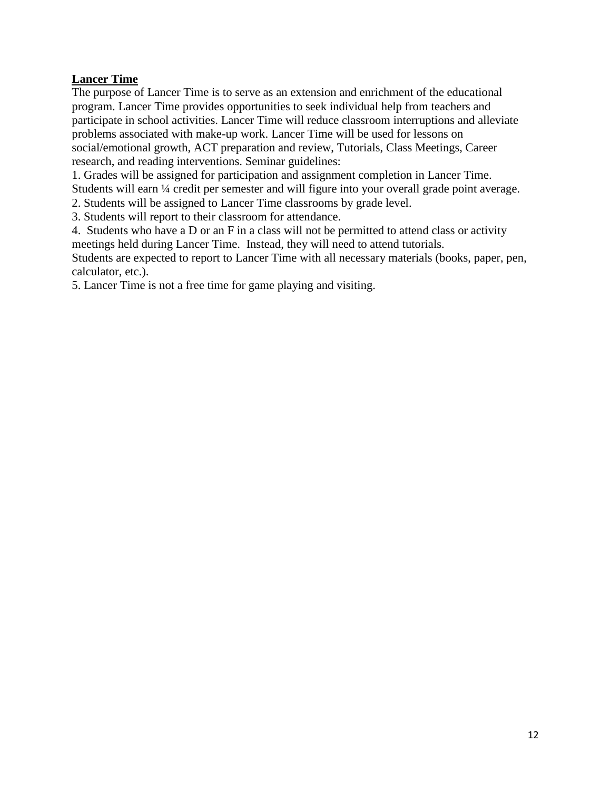# **Lancer Time**

The purpose of Lancer Time is to serve as an extension and enrichment of the educational program. Lancer Time provides opportunities to seek individual help from teachers and participate in school activities. Lancer Time will reduce classroom interruptions and alleviate problems associated with make-up work. Lancer Time will be used for lessons on social/emotional growth, ACT preparation and review, Tutorials, Class Meetings, Career research, and reading interventions. Seminar guidelines:

1. Grades will be assigned for participation and assignment completion in Lancer Time. Students will earn  $\frac{1}{4}$  credit per semester and will figure into your overall grade point average.

2. Students will be assigned to Lancer Time classrooms by grade level.

3. Students will report to their classroom for attendance.

4. Students who have a D or an F in a class will not be permitted to attend class or activity meetings held during Lancer Time. Instead, they will need to attend tutorials.

Students are expected to report to Lancer Time with all necessary materials (books, paper, pen, calculator, etc.).

5. Lancer Time is not a free time for game playing and visiting.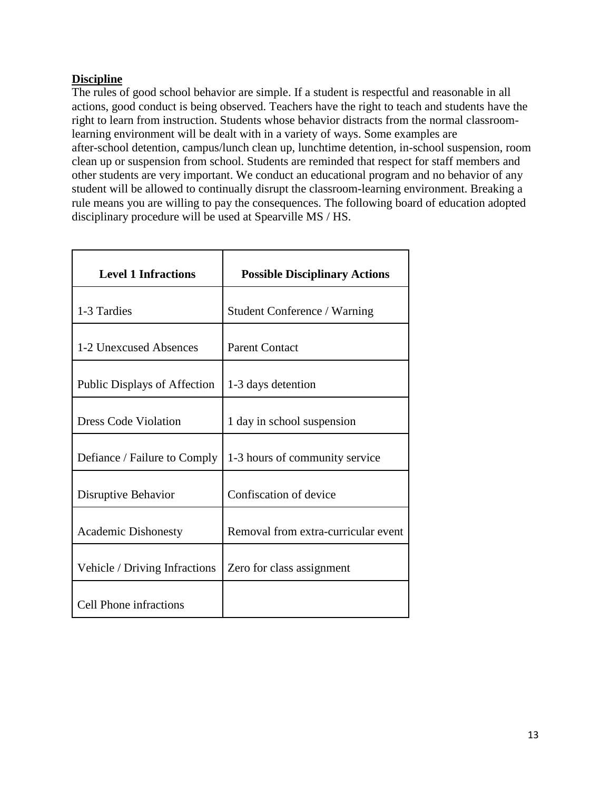# **Discipline**

The rules of good school behavior are simple. If a student is respectful and reasonable in all actions, good conduct is being observed. Teachers have the right to teach and students have the right to learn from instruction. Students whose behavior distracts from the normal classroomlearning environment will be dealt with in a variety of ways. Some examples are after-school detention, campus/lunch clean up, lunchtime detention, in-school suspension, room clean up or suspension from school. Students are reminded that respect for staff members and other students are very important. We conduct an educational program and no behavior of any student will be allowed to continually disrupt the classroom-learning environment. Breaking a rule means you are willing to pay the consequences. The following board of education adopted disciplinary procedure will be used at Spearville MS / HS.

| <b>Level 1 Infractions</b>          | <b>Possible Disciplinary Actions</b> |
|-------------------------------------|--------------------------------------|
| 1-3 Tardies                         | <b>Student Conference / Warning</b>  |
| 1-2 Unexcused Absences              | <b>Parent Contact</b>                |
| <b>Public Displays of Affection</b> | 1-3 days detention                   |
| <b>Dress Code Violation</b>         | 1 day in school suspension           |
| Defiance / Failure to Comply        | 1-3 hours of community service       |
| Disruptive Behavior                 | Confiscation of device               |
| <b>Academic Dishonesty</b>          | Removal from extra-curricular event  |
| Vehicle / Driving Infractions       | Zero for class assignment            |
| <b>Cell Phone infractions</b>       |                                      |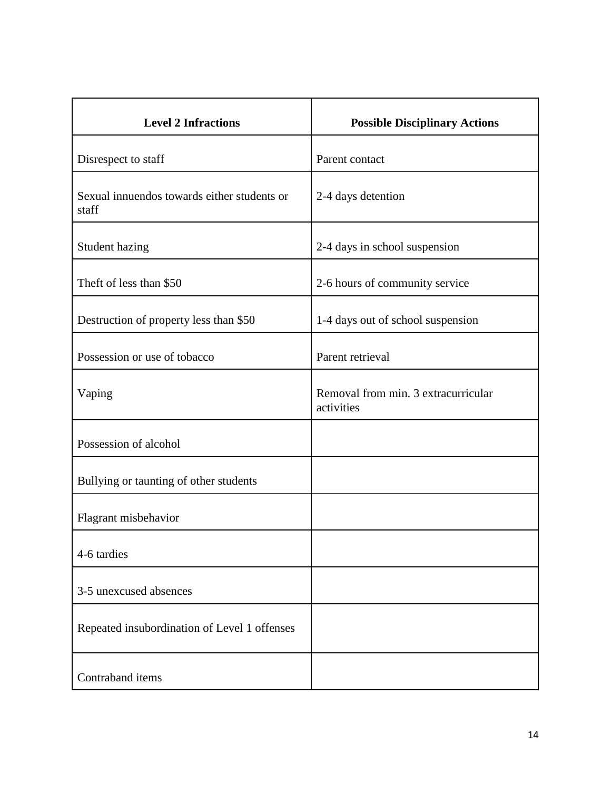| <b>Level 2 Infractions</b>                           | <b>Possible Disciplinary Actions</b>              |
|------------------------------------------------------|---------------------------------------------------|
| Disrespect to staff                                  | Parent contact                                    |
| Sexual innuendos towards either students or<br>staff | 2-4 days detention                                |
| Student hazing                                       | 2-4 days in school suspension                     |
| Theft of less than \$50                              | 2-6 hours of community service                    |
| Destruction of property less than \$50               | 1-4 days out of school suspension                 |
| Possession or use of tobacco                         | Parent retrieval                                  |
| Vaping                                               | Removal from min. 3 extracurricular<br>activities |
| Possession of alcohol                                |                                                   |
| Bullying or taunting of other students               |                                                   |
| Flagrant misbehavior                                 |                                                   |
| 4-6 tardies                                          |                                                   |
| 3-5 unexcused absences                               |                                                   |
| Repeated insubordination of Level 1 offenses         |                                                   |
| Contraband items                                     |                                                   |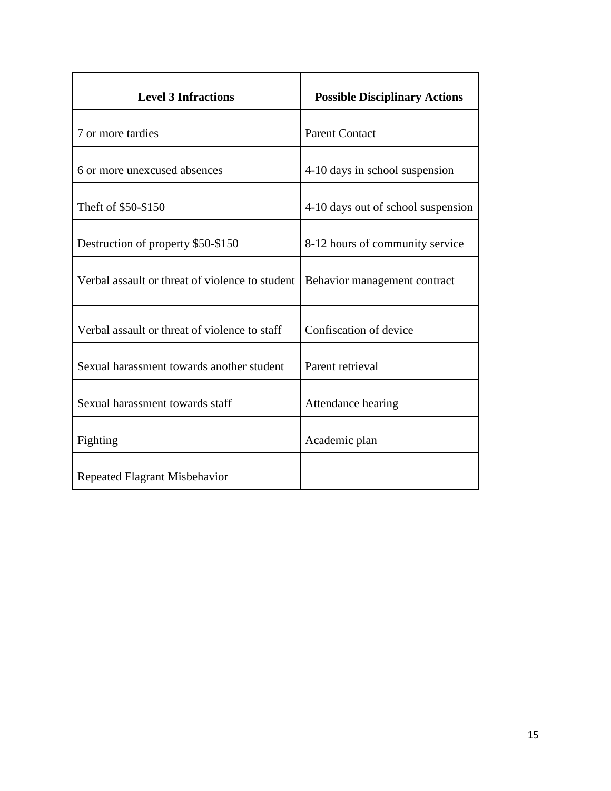| <b>Level 3 Infractions</b>                      | <b>Possible Disciplinary Actions</b> |
|-------------------------------------------------|--------------------------------------|
| 7 or more tardies                               | <b>Parent Contact</b>                |
| 6 or more unexcused absences                    | 4-10 days in school suspension       |
| Theft of \$50-\$150                             | 4-10 days out of school suspension   |
| Destruction of property \$50-\$150              | 8-12 hours of community service      |
| Verbal assault or threat of violence to student | Behavior management contract         |
| Verbal assault or threat of violence to staff   | Confiscation of device               |
| Sexual harassment towards another student       | Parent retrieval                     |
| Sexual harassment towards staff                 | Attendance hearing                   |
| Fighting                                        | Academic plan                        |
| Repeated Flagrant Misbehavior                   |                                      |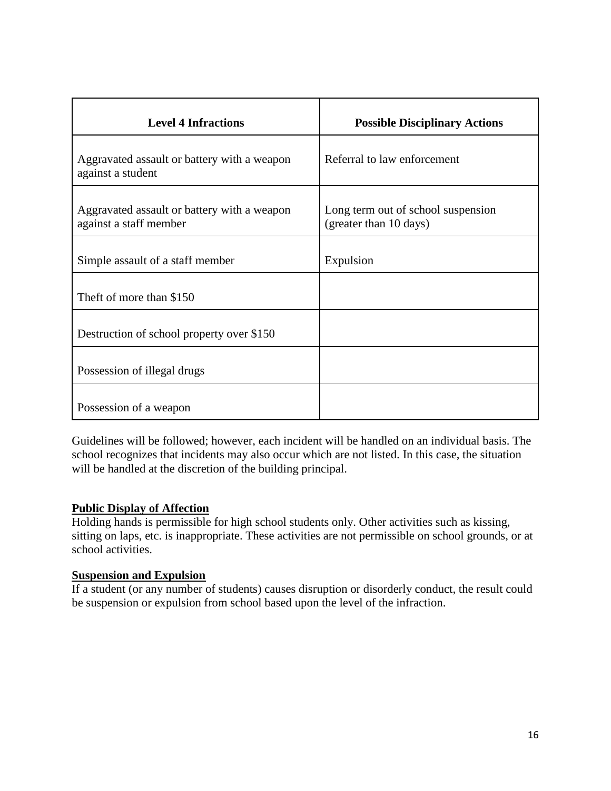| <b>Level 4 Infractions</b>                                            | <b>Possible Disciplinary Actions</b>                         |
|-----------------------------------------------------------------------|--------------------------------------------------------------|
| Aggravated assault or battery with a weapon<br>against a student      | Referral to law enforcement                                  |
| Aggravated assault or battery with a weapon<br>against a staff member | Long term out of school suspension<br>(greater than 10 days) |
| Simple assault of a staff member                                      | Expulsion                                                    |
| Theft of more than \$150                                              |                                                              |
| Destruction of school property over \$150                             |                                                              |
| Possession of illegal drugs                                           |                                                              |
| Possession of a weapon                                                |                                                              |

Guidelines will be followed; however, each incident will be handled on an individual basis. The school recognizes that incidents may also occur which are not listed. In this case, the situation will be handled at the discretion of the building principal.

# **Public Display of Affection**

Holding hands is permissible for high school students only. Other activities such as kissing, sitting on laps, etc. is inappropriate. These activities are not permissible on school grounds, or at school activities.

#### **Suspension and Expulsion**

If a student (or any number of students) causes disruption or disorderly conduct, the result could be suspension or expulsion from school based upon the level of the infraction.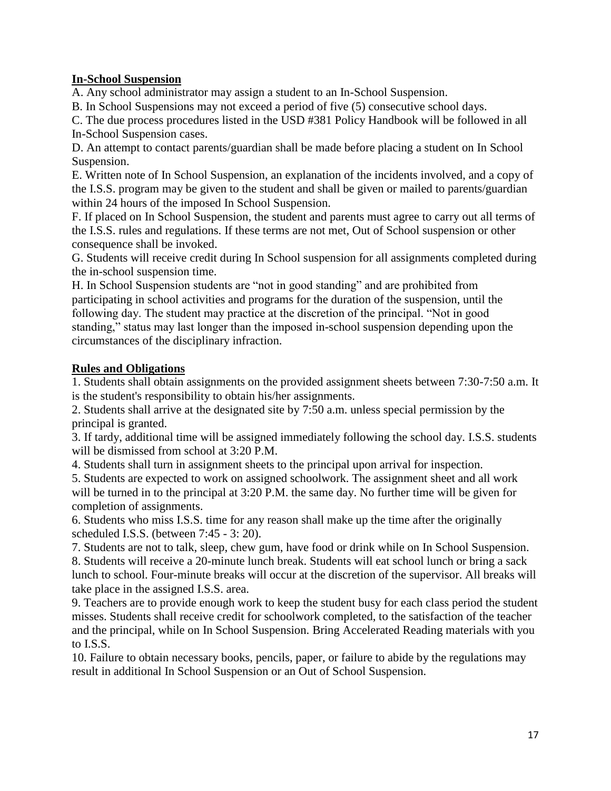### **In-School Suspension**

A. Any school administrator may assign a student to an In-School Suspension.

B. In School Suspensions may not exceed a period of five (5) consecutive school days.

C. The due process procedures listed in the USD #381 Policy Handbook will be followed in all In-School Suspension cases.

D. An attempt to contact parents/guardian shall be made before placing a student on In School Suspension.

E. Written note of In School Suspension, an explanation of the incidents involved, and a copy of the I.S.S. program may be given to the student and shall be given or mailed to parents/guardian within 24 hours of the imposed In School Suspension.

F. If placed on In School Suspension, the student and parents must agree to carry out all terms of the I.S.S. rules and regulations. If these terms are not met, Out of School suspension or other consequence shall be invoked.

G. Students will receive credit during In School suspension for all assignments completed during the in-school suspension time.

H. In School Suspension students are "not in good standing" and are prohibited from participating in school activities and programs for the duration of the suspension, until the following day. The student may practice at the discretion of the principal. "Not in good standing," status may last longer than the imposed in-school suspension depending upon the circumstances of the disciplinary infraction.

# **Rules and Obligations**

1. Students shall obtain assignments on the provided assignment sheets between 7:30-7:50 a.m. It is the student's responsibility to obtain his/her assignments.

2. Students shall arrive at the designated site by 7:50 a.m. unless special permission by the principal is granted.

3. If tardy, additional time will be assigned immediately following the school day. I.S.S. students will be dismissed from school at 3:20 P.M.

4. Students shall turn in assignment sheets to the principal upon arrival for inspection.

5. Students are expected to work on assigned schoolwork. The assignment sheet and all work will be turned in to the principal at 3:20 P.M. the same day. No further time will be given for completion of assignments.

6. Students who miss I.S.S. time for any reason shall make up the time after the originally scheduled I.S.S. (between 7:45 - 3: 20).

7. Students are not to talk, sleep, chew gum, have food or drink while on In School Suspension. 8. Students will receive a 20-minute lunch break. Students will eat school lunch or bring a sack lunch to school. Four-minute breaks will occur at the discretion of the supervisor. All breaks will take place in the assigned I.S.S. area.

9. Teachers are to provide enough work to keep the student busy for each class period the student misses. Students shall receive credit for schoolwork completed, to the satisfaction of the teacher and the principal, while on In School Suspension. Bring Accelerated Reading materials with you to I.S.S.

10. Failure to obtain necessary books, pencils, paper, or failure to abide by the regulations may result in additional In School Suspension or an Out of School Suspension.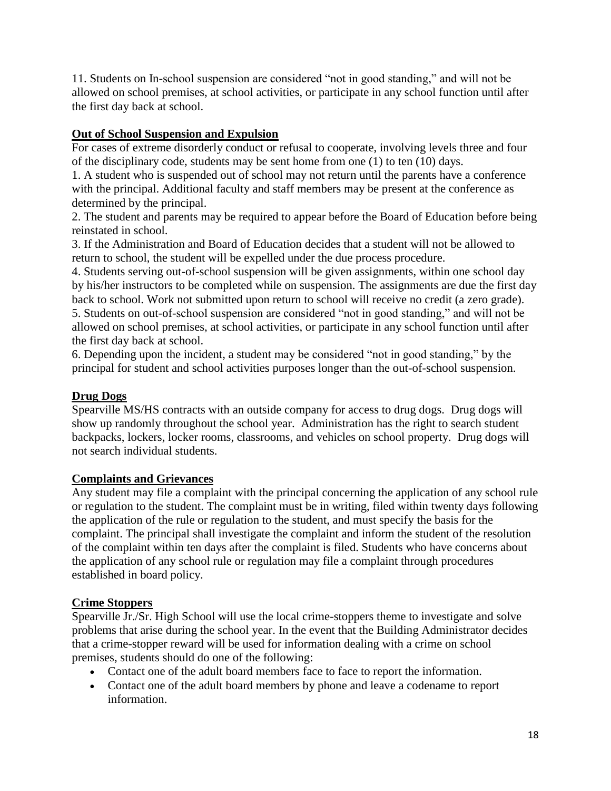11. Students on In-school suspension are considered "not in good standing," and will not be allowed on school premises, at school activities, or participate in any school function until after the first day back at school.

# **Out of School Suspension and Expulsion**

For cases of extreme disorderly conduct or refusal to cooperate, involving levels three and four of the disciplinary code, students may be sent home from one (1) to ten (10) days.

1. A student who is suspended out of school may not return until the parents have a conference with the principal. Additional faculty and staff members may be present at the conference as determined by the principal.

2. The student and parents may be required to appear before the Board of Education before being reinstated in school.

3. If the Administration and Board of Education decides that a student will not be allowed to return to school, the student will be expelled under the due process procedure.

4. Students serving out-of-school suspension will be given assignments, within one school day by his/her instructors to be completed while on suspension. The assignments are due the first day back to school. Work not submitted upon return to school will receive no credit (a zero grade). 5. Students on out-of-school suspension are considered "not in good standing," and will not be allowed on school premises, at school activities, or participate in any school function until after the first day back at school.

6. Depending upon the incident, a student may be considered "not in good standing," by the principal for student and school activities purposes longer than the out-of-school suspension.

# **Drug Dogs**

Spearville MS/HS contracts with an outside company for access to drug dogs. Drug dogs will show up randomly throughout the school year. Administration has the right to search student backpacks, lockers, locker rooms, classrooms, and vehicles on school property. Drug dogs will not search individual students.

# **Complaints and Grievances**

Any student may file a complaint with the principal concerning the application of any school rule or regulation to the student. The complaint must be in writing, filed within twenty days following the application of the rule or regulation to the student, and must specify the basis for the complaint. The principal shall investigate the complaint and inform the student of the resolution of the complaint within ten days after the complaint is filed. Students who have concerns about the application of any school rule or regulation may file a complaint through procedures established in board policy.

# **Crime Stoppers**

Spearville Jr./Sr. High School will use the local crime-stoppers theme to investigate and solve problems that arise during the school year. In the event that the Building Administrator decides that a crime-stopper reward will be used for information dealing with a crime on school premises, students should do one of the following:

- Contact one of the adult board members face to face to report the information.
- Contact one of the adult board members by phone and leave a codename to report information.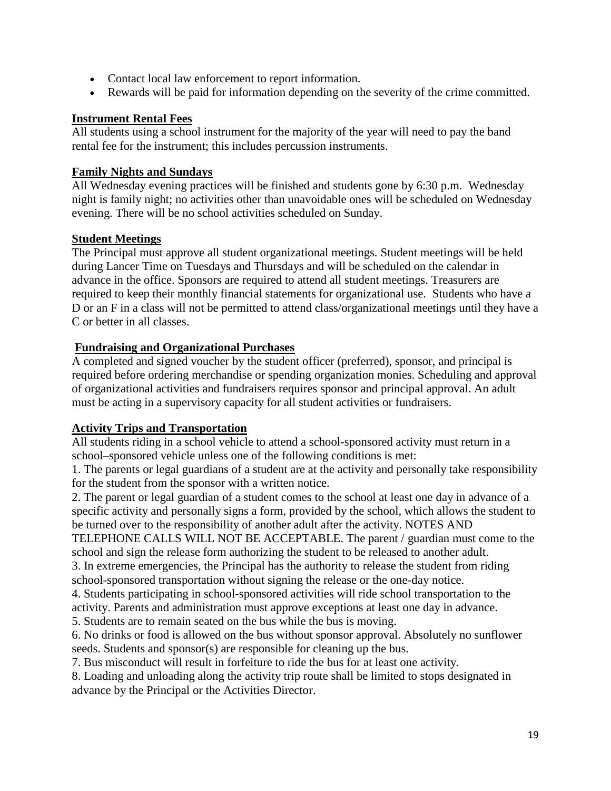- Contact local law enforcement to report information.
- Rewards will be paid for information depending on the severity of the crime committed.

#### **Instrument Rental Fees**

All students using a school instrument for the majority of the year will need to pay the band rental fee for the instrument; this includes percussion instruments.

### **Family Nights and Sundays**

All Wednesday evening practices will be finished and students gone by 6:30 p.m. Wednesday night is family night; no activities other than unavoidable ones will be scheduled on Wednesday evening. There will be no school activities scheduled on Sunday.

### **Student Meetings**

The Principal must approve all student organizational meetings. Student meetings will be held during Lancer Time on Tuesdays and Thursdays and will be scheduled on the calendar in advance in the office. Sponsors are required to attend all student meetings. Treasurers are required to keep their monthly financial statements for organizational use. Students who have a D or an F in a class will not be permitted to attend class/organizational meetings until they have a C or better in all classes.

# **Fundraising and Organizational Purchases**

A completed and signed voucher by the student officer (preferred), sponsor, and principal is required before ordering merchandise or spending organization monies. Scheduling and approval of organizational activities and fundraisers requires sponsor and principal approval. An adult must be acting in a supervisory capacity for all student activities or fundraisers.

# **Activity Trips and Transportation**

All students riding in a school vehicle to attend a school-sponsored activity must return in a school–sponsored vehicle unless one of the following conditions is met:

1. The parents or legal guardians of a student are at the activity and personally take responsibility for the student from the sponsor with a written notice.

2. The parent or legal guardian of a student comes to the school at least one day in advance of a specific activity and personally signs a form, provided by the school, which allows the student to be turned over to the responsibility of another adult after the activity. NOTES AND

TELEPHONE CALLS WILL NOT BE ACCEPTABLE. The parent / guardian must come to the school and sign the release form authorizing the student to be released to another adult.

3. In extreme emergencies, the Principal has the authority to release the student from riding school-sponsored transportation without signing the release or the one-day notice.

4. Students participating in school-sponsored activities will ride school transportation to the activity. Parents and administration must approve exceptions at least one day in advance.

5. Students are to remain seated on the bus while the bus is moving.

6. No drinks or food is allowed on the bus without sponsor approval. Absolutely no sunflower seeds. Students and sponsor(s) are responsible for cleaning up the bus.

7. Bus misconduct will result in forfeiture to ride the bus for at least one activity.

8. Loading and unloading along the activity trip route shall be limited to stops designated in advance by the Principal or the Activities Director.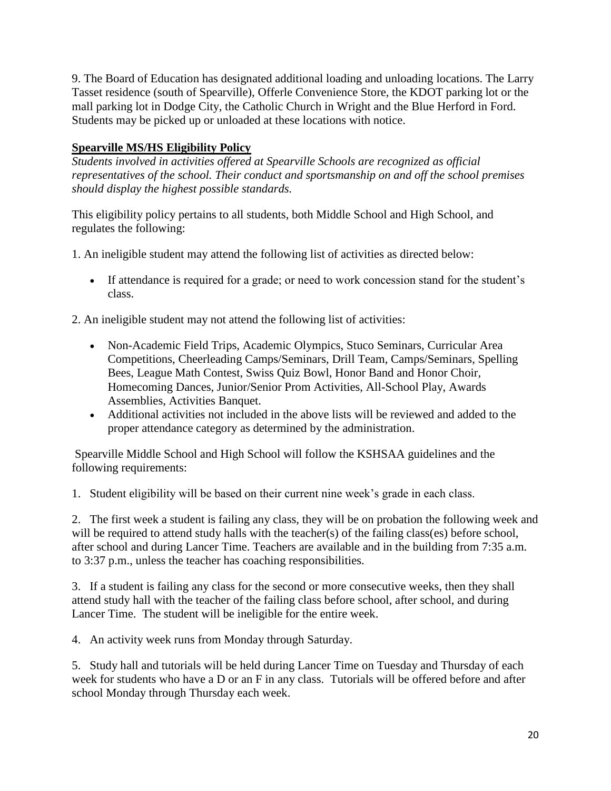9. The Board of Education has designated additional loading and unloading locations. The Larry Tasset residence (south of Spearville), Offerle Convenience Store, the KDOT parking lot or the mall parking lot in Dodge City, the Catholic Church in Wright and the Blue Herford in Ford. Students may be picked up or unloaded at these locations with notice.

# **Spearville MS/HS Eligibility Policy**

*Students involved in activities offered at Spearville Schools are recognized as official representatives of the school. Their conduct and sportsmanship on and off the school premises should display the highest possible standards.*

This eligibility policy pertains to all students, both Middle School and High School, and regulates the following:

1. An ineligible student may attend the following list of activities as directed below:

 If attendance is required for a grade; or need to work concession stand for the student's class.

2. An ineligible student may not attend the following list of activities:

- Non-Academic Field Trips, Academic Olympics, Stuco Seminars, Curricular Area Competitions, Cheerleading Camps/Seminars, Drill Team, Camps/Seminars, Spelling Bees, League Math Contest, Swiss Quiz Bowl, Honor Band and Honor Choir, Homecoming Dances, Junior/Senior Prom Activities, All-School Play, Awards Assemblies, Activities Banquet.
- Additional activities not included in the above lists will be reviewed and added to the proper attendance category as determined by the administration.

Spearville Middle School and High School will follow the KSHSAA guidelines and the following requirements:

1. Student eligibility will be based on their current nine week's grade in each class.

2. The first week a student is failing any class, they will be on probation the following week and will be required to attend study halls with the teacher(s) of the failing class(es) before school, after school and during Lancer Time. Teachers are available and in the building from 7:35 a.m. to 3:37 p.m., unless the teacher has coaching responsibilities.

3. If a student is failing any class for the second or more consecutive weeks, then they shall attend study hall with the teacher of the failing class before school, after school, and during Lancer Time. The student will be ineligible for the entire week.

4. An activity week runs from Monday through Saturday.

5. Study hall and tutorials will be held during Lancer Time on Tuesday and Thursday of each week for students who have a D or an F in any class. Tutorials will be offered before and after school Monday through Thursday each week.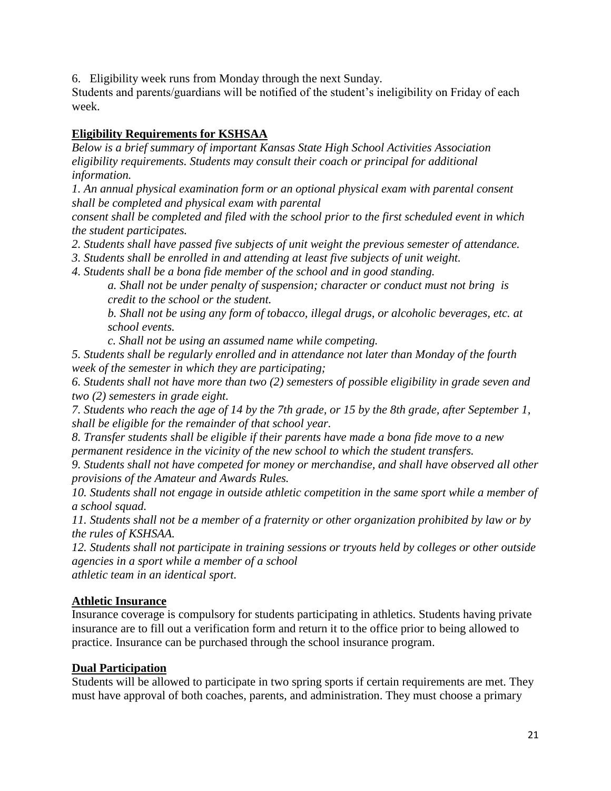6. Eligibility week runs from Monday through the next Sunday.

Students and parents/guardians will be notified of the student's ineligibility on Friday of each week.

# **Eligibility Requirements for KSHSAA**

*Below is a brief summary of important Kansas State High School Activities Association eligibility requirements. Students may consult their coach or principal for additional information.*

*1. An annual physical examination form or an optional physical exam with parental consent shall be completed and physical exam with parental*

*consent shall be completed and filed with the school prior to the first scheduled event in which the student participates.*

*2. Students shall have passed five subjects of unit weight the previous semester of attendance.*

*3. Students shall be enrolled in and attending at least five subjects of unit weight.*

*4. Students shall be a bona fide member of the school and in good standing.*

*a. Shall not be under penalty of suspension; character or conduct must not bring is credit to the school or the student.*

*b. Shall not be using any form of tobacco, illegal drugs, or alcoholic beverages, etc. at school events.*

*c. Shall not be using an assumed name while competing.*

*5. Students shall be regularly enrolled and in attendance not later than Monday of the fourth week of the semester in which they are participating;*

*6. Students shall not have more than two (2) semesters of possible eligibility in grade seven and two (2) semesters in grade eight.*

*7. Students who reach the age of 14 by the 7th grade, or 15 by the 8th grade, after September 1, shall be eligible for the remainder of that school year.*

*8. Transfer students shall be eligible if their parents have made a bona fide move to a new permanent residence in the vicinity of the new school to which the student transfers.*

*9. Students shall not have competed for money or merchandise, and shall have observed all other provisions of the Amateur and Awards Rules.*

*10. Students shall not engage in outside athletic competition in the same sport while a member of a school squad.*

*11. Students shall not be a member of a fraternity or other organization prohibited by law or by the rules of KSHSAA.*

*12. Students shall not participate in training sessions or tryouts held by colleges or other outside agencies in a sport while a member of a school*

*athletic team in an identical sport.*

# **Athletic Insurance**

Insurance coverage is compulsory for students participating in athletics. Students having private insurance are to fill out a verification form and return it to the office prior to being allowed to practice. Insurance can be purchased through the school insurance program.

# **Dual Participation**

Students will be allowed to participate in two spring sports if certain requirements are met. They must have approval of both coaches, parents, and administration. They must choose a primary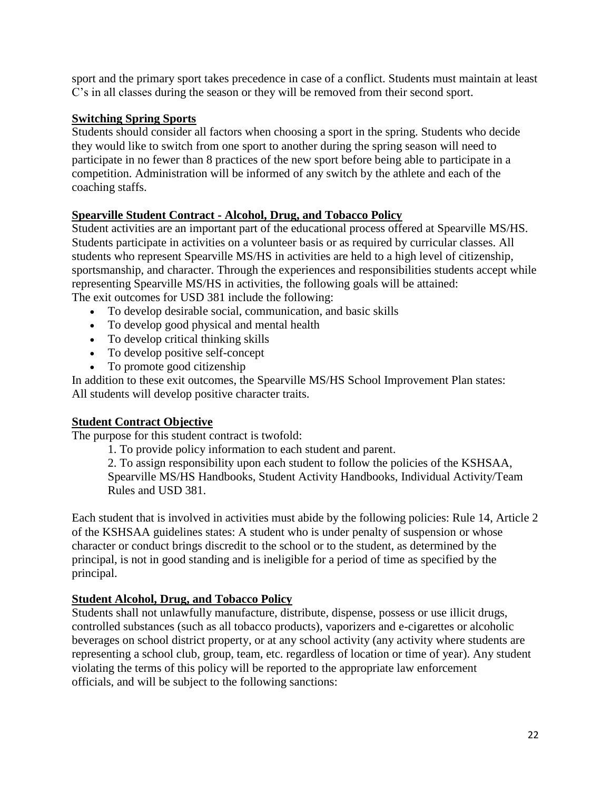sport and the primary sport takes precedence in case of a conflict. Students must maintain at least C's in all classes during the season or they will be removed from their second sport.

# **Switching Spring Sports**

Students should consider all factors when choosing a sport in the spring. Students who decide they would like to switch from one sport to another during the spring season will need to participate in no fewer than 8 practices of the new sport before being able to participate in a competition. Administration will be informed of any switch by the athlete and each of the coaching staffs.

# **Spearville Student Contract - Alcohol, Drug, and Tobacco Policy**

Student activities are an important part of the educational process offered at Spearville MS/HS. Students participate in activities on a volunteer basis or as required by curricular classes. All students who represent Spearville MS/HS in activities are held to a high level of citizenship, sportsmanship, and character. Through the experiences and responsibilities students accept while representing Spearville MS/HS in activities, the following goals will be attained: The exit outcomes for USD 381 include the following:

- To develop desirable social, communication, and basic skills
- To develop good physical and mental health
- To develop critical thinking skills
- To develop positive self-concept
- To promote good citizenship

In addition to these exit outcomes, the Spearville MS/HS School Improvement Plan states: All students will develop positive character traits.

# **Student Contract Objective**

The purpose for this student contract is twofold:

1. To provide policy information to each student and parent.

2. To assign responsibility upon each student to follow the policies of the KSHSAA,

Spearville MS/HS Handbooks, Student Activity Handbooks, Individual Activity/Team Rules and USD 381.

Each student that is involved in activities must abide by the following policies: Rule 14, Article 2 of the KSHSAA guidelines states: A student who is under penalty of suspension or whose character or conduct brings discredit to the school or to the student, as determined by the principal, is not in good standing and is ineligible for a period of time as specified by the principal.

# **Student Alcohol, Drug, and Tobacco Policy**

Students shall not unlawfully manufacture, distribute, dispense, possess or use illicit drugs, controlled substances (such as all tobacco products), vaporizers and e-cigarettes or alcoholic beverages on school district property, or at any school activity (any activity where students are representing a school club, group, team, etc. regardless of location or time of year). Any student violating the terms of this policy will be reported to the appropriate law enforcement officials, and will be subject to the following sanctions: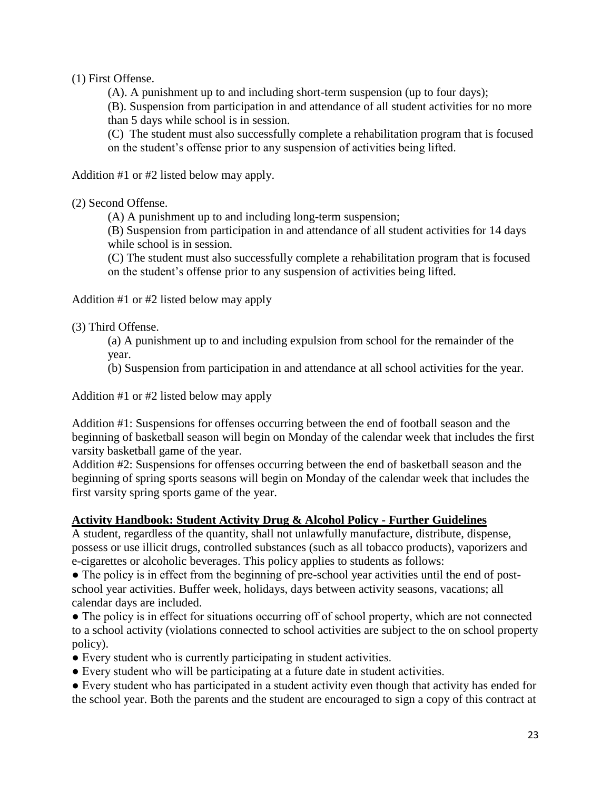### (1) First Offense.

(A). A punishment up to and including short-term suspension (up to four days);

(B). Suspension from participation in and attendance of all student activities for no more than 5 days while school is in session.

(C) The student must also successfully complete a rehabilitation program that is focused on the student's offense prior to any suspension of activities being lifted.

Addition #1 or #2 listed below may apply.

### (2) Second Offense.

(A) A punishment up to and including long-term suspension;

(B) Suspension from participation in and attendance of all student activities for 14 days while school is in session.

(C) The student must also successfully complete a rehabilitation program that is focused on the student's offense prior to any suspension of activities being lifted.

Addition #1 or #2 listed below may apply

(3) Third Offense.

(a) A punishment up to and including expulsion from school for the remainder of the year.

(b) Suspension from participation in and attendance at all school activities for the year.

Addition #1 or #2 listed below may apply

Addition #1: Suspensions for offenses occurring between the end of football season and the beginning of basketball season will begin on Monday of the calendar week that includes the first varsity basketball game of the year.

Addition #2: Suspensions for offenses occurring between the end of basketball season and the beginning of spring sports seasons will begin on Monday of the calendar week that includes the first varsity spring sports game of the year.

# **Activity Handbook: Student Activity Drug & Alcohol Policy - Further Guidelines**

A student, regardless of the quantity, shall not unlawfully manufacture, distribute, dispense, possess or use illicit drugs, controlled substances (such as all tobacco products), vaporizers and e-cigarettes or alcoholic beverages. This policy applies to students as follows:

• The policy is in effect from the beginning of pre-school year activities until the end of postschool year activities. Buffer week, holidays, days between activity seasons, vacations; all calendar days are included.

• The policy is in effect for situations occurring off of school property, which are not connected to a school activity (violations connected to school activities are subject to the on school property policy).

- Every student who is currently participating in student activities.
- Every student who will be participating at a future date in student activities.

● Every student who has participated in a student activity even though that activity has ended for the school year. Both the parents and the student are encouraged to sign a copy of this contract at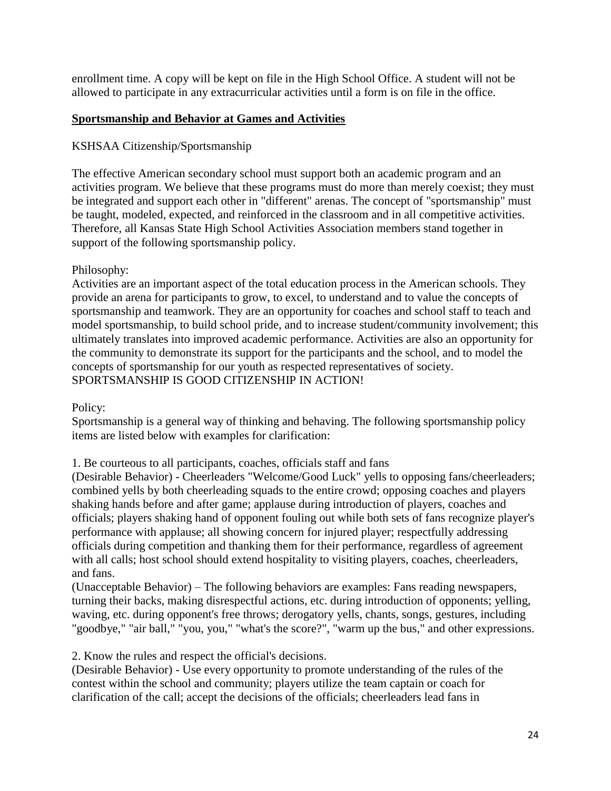enrollment time. A copy will be kept on file in the High School Office. A student will not be allowed to participate in any extracurricular activities until a form is on file in the office.

# **Sportsmanship and Behavior at Games and Activities**

# KSHSAA Citizenship/Sportsmanship

The effective American secondary school must support both an academic program and an activities program. We believe that these programs must do more than merely coexist; they must be integrated and support each other in "different" arenas. The concept of "sportsmanship" must be taught, modeled, expected, and reinforced in the classroom and in all competitive activities. Therefore, all Kansas State High School Activities Association members stand together in support of the following sportsmanship policy.

# Philosophy:

Activities are an important aspect of the total education process in the American schools. They provide an arena for participants to grow, to excel, to understand and to value the concepts of sportsmanship and teamwork. They are an opportunity for coaches and school staff to teach and model sportsmanship, to build school pride, and to increase student/community involvement; this ultimately translates into improved academic performance. Activities are also an opportunity for the community to demonstrate its support for the participants and the school, and to model the concepts of sportsmanship for our youth as respected representatives of society. SPORTSMANSHIP IS GOOD CITIZENSHIP IN ACTION!

Policy:

Sportsmanship is a general way of thinking and behaving. The following sportsmanship policy items are listed below with examples for clarification:

1. Be courteous to all participants, coaches, officials staff and fans

(Desirable Behavior) - Cheerleaders "Welcome/Good Luck" yells to opposing fans/cheerleaders; combined yells by both cheerleading squads to the entire crowd; opposing coaches and players shaking hands before and after game; applause during introduction of players, coaches and officials; players shaking hand of opponent fouling out while both sets of fans recognize player's performance with applause; all showing concern for injured player; respectfully addressing officials during competition and thanking them for their performance, regardless of agreement with all calls; host school should extend hospitality to visiting players, coaches, cheerleaders, and fans.

(Unacceptable Behavior) – The following behaviors are examples: Fans reading newspapers, turning their backs, making disrespectful actions, etc. during introduction of opponents; yelling, waving, etc. during opponent's free throws; derogatory yells, chants, songs, gestures, including "goodbye," "air ball," "you, you," "what's the score?", "warm up the bus," and other expressions.

2. Know the rules and respect the official's decisions.

(Desirable Behavior) - Use every opportunity to promote understanding of the rules of the contest within the school and community; players utilize the team captain or coach for clarification of the call; accept the decisions of the officials; cheerleaders lead fans in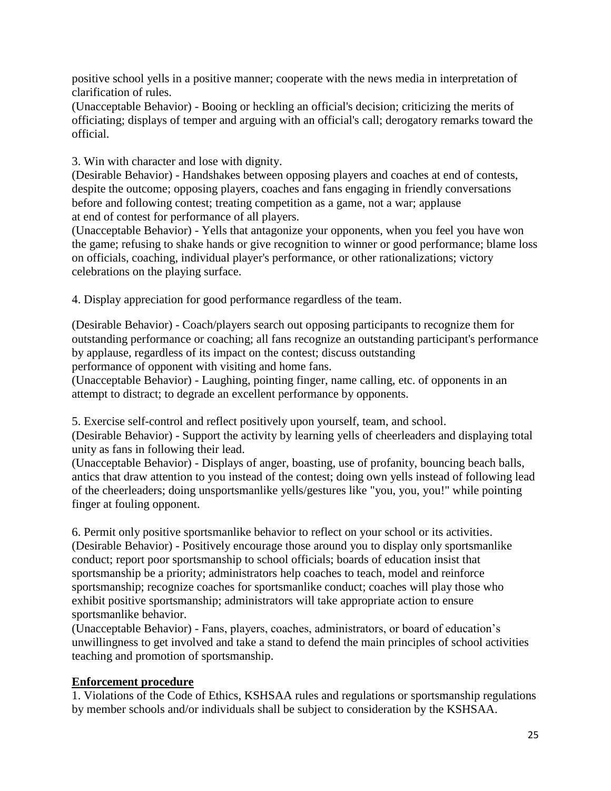positive school yells in a positive manner; cooperate with the news media in interpretation of clarification of rules.

(Unacceptable Behavior) - Booing or heckling an official's decision; criticizing the merits of officiating; displays of temper and arguing with an official's call; derogatory remarks toward the official.

3. Win with character and lose with dignity.

(Desirable Behavior) - Handshakes between opposing players and coaches at end of contests, despite the outcome; opposing players, coaches and fans engaging in friendly conversations before and following contest; treating competition as a game, not a war; applause at end of contest for performance of all players.

(Unacceptable Behavior) - Yells that antagonize your opponents, when you feel you have won the game; refusing to shake hands or give recognition to winner or good performance; blame loss on officials, coaching, individual player's performance, or other rationalizations; victory celebrations on the playing surface.

4. Display appreciation for good performance regardless of the team.

(Desirable Behavior) - Coach/players search out opposing participants to recognize them for outstanding performance or coaching; all fans recognize an outstanding participant's performance by applause, regardless of its impact on the contest; discuss outstanding performance of opponent with visiting and home fans.

(Unacceptable Behavior) - Laughing, pointing finger, name calling, etc. of opponents in an attempt to distract; to degrade an excellent performance by opponents.

5. Exercise self-control and reflect positively upon yourself, team, and school.

(Desirable Behavior) - Support the activity by learning yells of cheerleaders and displaying total unity as fans in following their lead.

(Unacceptable Behavior) - Displays of anger, boasting, use of profanity, bouncing beach balls, antics that draw attention to you instead of the contest; doing own yells instead of following lead of the cheerleaders; doing unsportsmanlike yells/gestures like "you, you, you!" while pointing finger at fouling opponent.

6. Permit only positive sportsmanlike behavior to reflect on your school or its activities. (Desirable Behavior) - Positively encourage those around you to display only sportsmanlike conduct; report poor sportsmanship to school officials; boards of education insist that sportsmanship be a priority; administrators help coaches to teach, model and reinforce sportsmanship; recognize coaches for sportsmanlike conduct; coaches will play those who exhibit positive sportsmanship; administrators will take appropriate action to ensure sportsmanlike behavior.

(Unacceptable Behavior) - Fans, players, coaches, administrators, or board of education's unwillingness to get involved and take a stand to defend the main principles of school activities teaching and promotion of sportsmanship.

# **Enforcement procedure**

1. Violations of the Code of Ethics, KSHSAA rules and regulations or sportsmanship regulations by member schools and/or individuals shall be subject to consideration by the KSHSAA.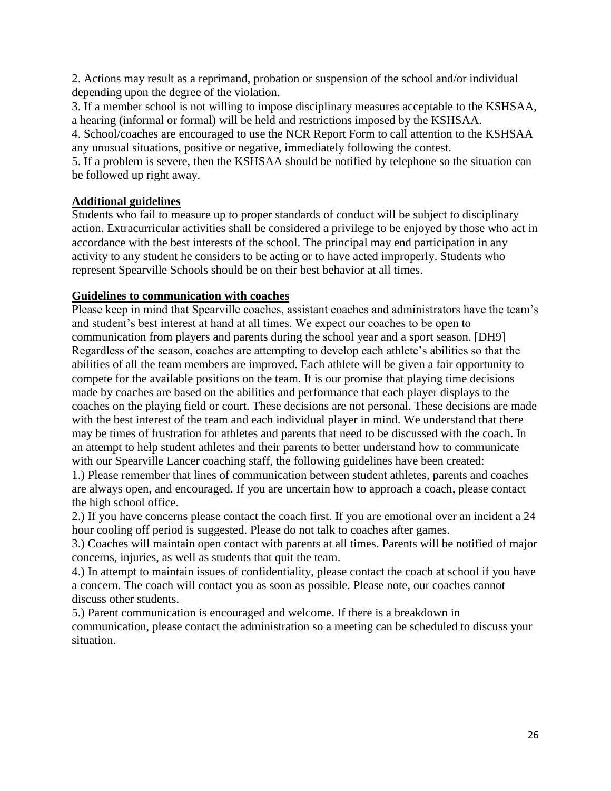2. Actions may result as a reprimand, probation or suspension of the school and/or individual depending upon the degree of the violation.

3. If a member school is not willing to impose disciplinary measures acceptable to the KSHSAA, a hearing (informal or formal) will be held and restrictions imposed by the KSHSAA.

4. School/coaches are encouraged to use the NCR Report Form to call attention to the KSHSAA any unusual situations, positive or negative, immediately following the contest.

5. If a problem is severe, then the KSHSAA should be notified by telephone so the situation can be followed up right away.

# **Additional guidelines**

Students who fail to measure up to proper standards of conduct will be subject to disciplinary action. Extracurricular activities shall be considered a privilege to be enjoyed by those who act in accordance with the best interests of the school. The principal may end participation in any activity to any student he considers to be acting or to have acted improperly. Students who represent Spearville Schools should be on their best behavior at all times.

# **Guidelines to communication with coaches**

Please keep in mind that Spearville coaches, assistant coaches and administrators have the team's and student's best interest at hand at all times. We expect our coaches to be open to communication from players and parents during the school year and a sport season. [DH9] Regardless of the season, coaches are attempting to develop each athlete's abilities so that the abilities of all the team members are improved. Each athlete will be given a fair opportunity to compete for the available positions on the team. It is our promise that playing time decisions made by coaches are based on the abilities and performance that each player displays to the coaches on the playing field or court. These decisions are not personal. These decisions are made with the best interest of the team and each individual player in mind. We understand that there may be times of frustration for athletes and parents that need to be discussed with the coach. In an attempt to help student athletes and their parents to better understand how to communicate with our Spearville Lancer coaching staff, the following guidelines have been created:

1.) Please remember that lines of communication between student athletes, parents and coaches are always open, and encouraged. If you are uncertain how to approach a coach, please contact the high school office.

2.) If you have concerns please contact the coach first. If you are emotional over an incident a 24 hour cooling off period is suggested. Please do not talk to coaches after games.

3.) Coaches will maintain open contact with parents at all times. Parents will be notified of major concerns, injuries, as well as students that quit the team.

4.) In attempt to maintain issues of confidentiality, please contact the coach at school if you have a concern. The coach will contact you as soon as possible. Please note, our coaches cannot discuss other students.

5.) Parent communication is encouraged and welcome. If there is a breakdown in communication, please contact the administration so a meeting can be scheduled to discuss your situation.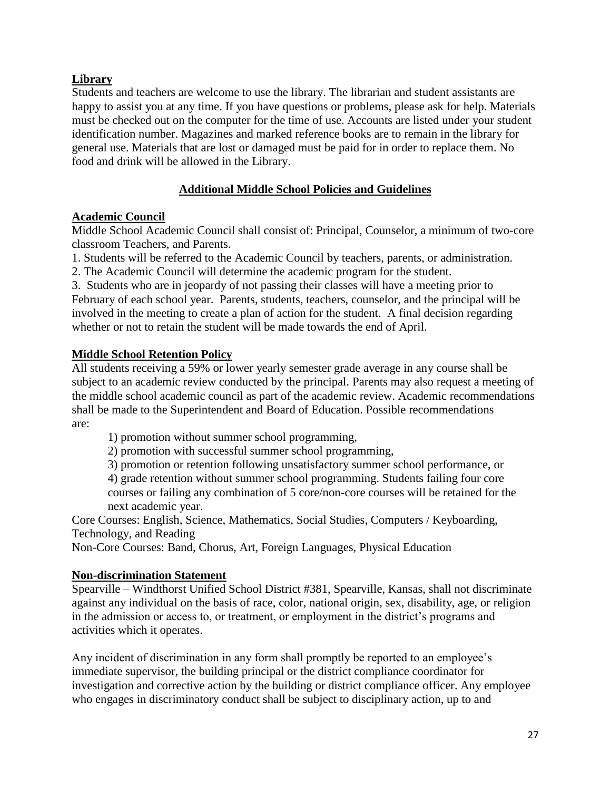# **Library**

Students and teachers are welcome to use the library. The librarian and student assistants are happy to assist you at any time. If you have questions or problems, please ask for help. Materials must be checked out on the computer for the time of use. Accounts are listed under your student identification number. Magazines and marked reference books are to remain in the library for general use. Materials that are lost or damaged must be paid for in order to replace them. No food and drink will be allowed in the Library.

# **Additional Middle School Policies and Guidelines**

# **Academic Council**

Middle School Academic Council shall consist of: Principal, Counselor, a minimum of two-core classroom Teachers, and Parents.

1. Students will be referred to the Academic Council by teachers, parents, or administration.

2. The Academic Council will determine the academic program for the student.

3. Students who are in jeopardy of not passing their classes will have a meeting prior to February of each school year. Parents, students, teachers, counselor, and the principal will be involved in the meeting to create a plan of action for the student. A final decision regarding whether or not to retain the student will be made towards the end of April.

# **Middle School Retention Policy**

All students receiving a 59% or lower yearly semester grade average in any course shall be subject to an academic review conducted by the principal. Parents may also request a meeting of the middle school academic council as part of the academic review. Academic recommendations shall be made to the Superintendent and Board of Education. Possible recommendations are:

1) promotion without summer school programming,

2) promotion with successful summer school programming,

3) promotion or retention following unsatisfactory summer school performance, or

4) grade retention without summer school programming. Students failing four core courses or failing any combination of 5 core/non-core courses will be retained for the

next academic year.

Core Courses: English, Science, Mathematics, Social Studies, Computers / Keyboarding, Technology, and Reading

Non-Core Courses: Band, Chorus, Art, Foreign Languages, Physical Education

# **Non-discrimination Statement**

Spearville – Windthorst Unified School District #381, Spearville, Kansas, shall not discriminate against any individual on the basis of race, color, national origin, sex, disability, age, or religion in the admission or access to, or treatment, or employment in the district's programs and activities which it operates.

Any incident of discrimination in any form shall promptly be reported to an employee's immediate supervisor, the building principal or the district compliance coordinator for investigation and corrective action by the building or district compliance officer. Any employee who engages in discriminatory conduct shall be subject to disciplinary action, up to and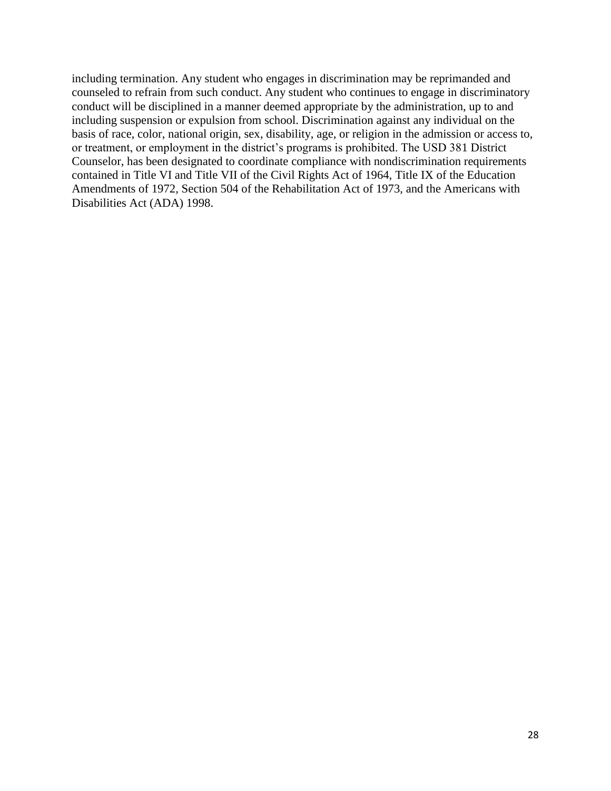including termination. Any student who engages in discrimination may be reprimanded and counseled to refrain from such conduct. Any student who continues to engage in discriminatory conduct will be disciplined in a manner deemed appropriate by the administration, up to and including suspension or expulsion from school. Discrimination against any individual on the basis of race, color, national origin, sex, disability, age, or religion in the admission or access to, or treatment, or employment in the district's programs is prohibited. The USD 381 District Counselor, has been designated to coordinate compliance with nondiscrimination requirements contained in Title VI and Title VII of the Civil Rights Act of 1964, Title IX of the Education Amendments of 1972, Section 504 of the Rehabilitation Act of 1973, and the Americans with Disabilities Act (ADA) 1998.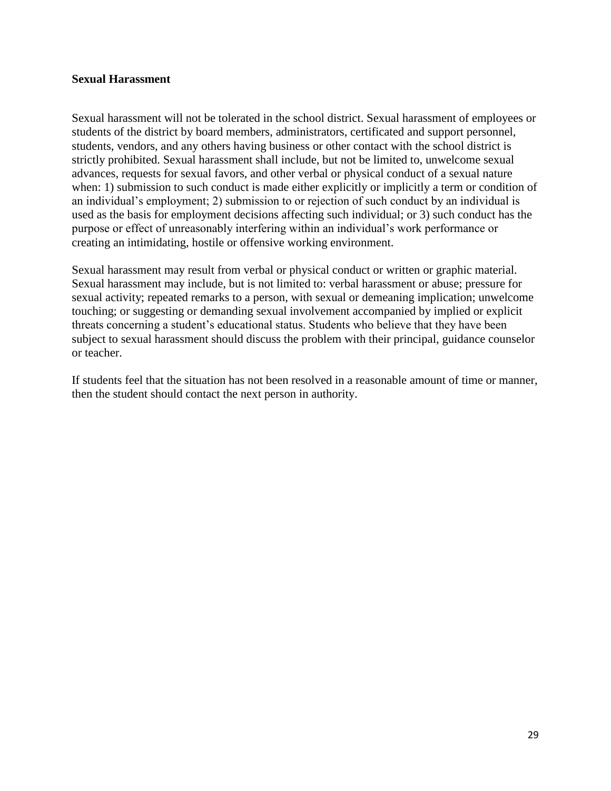#### **Sexual Harassment**

Sexual harassment will not be tolerated in the school district. Sexual harassment of employees or students of the district by board members, administrators, certificated and support personnel, students, vendors, and any others having business or other contact with the school district is strictly prohibited. Sexual harassment shall include, but not be limited to, unwelcome sexual advances, requests for sexual favors, and other verbal or physical conduct of a sexual nature when: 1) submission to such conduct is made either explicitly or implicitly a term or condition of an individual's employment; 2) submission to or rejection of such conduct by an individual is used as the basis for employment decisions affecting such individual; or 3) such conduct has the purpose or effect of unreasonably interfering within an individual's work performance or creating an intimidating, hostile or offensive working environment.

Sexual harassment may result from verbal or physical conduct or written or graphic material. Sexual harassment may include, but is not limited to: verbal harassment or abuse; pressure for sexual activity; repeated remarks to a person, with sexual or demeaning implication; unwelcome touching; or suggesting or demanding sexual involvement accompanied by implied or explicit threats concerning a student's educational status. Students who believe that they have been subject to sexual harassment should discuss the problem with their principal, guidance counselor or teacher.

If students feel that the situation has not been resolved in a reasonable amount of time or manner, then the student should contact the next person in authority.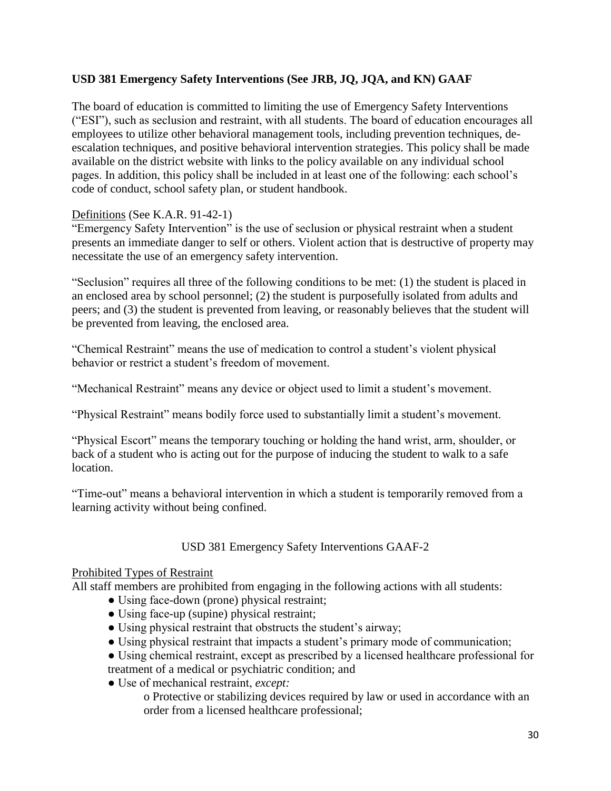# **USD 381 Emergency Safety Interventions (See JRB, JQ, JQA, and KN) GAAF**

The board of education is committed to limiting the use of Emergency Safety Interventions ("ESI"), such as seclusion and restraint, with all students. The board of education encourages all employees to utilize other behavioral management tools, including prevention techniques, deescalation techniques, and positive behavioral intervention strategies. This policy shall be made available on the district website with links to the policy available on any individual school pages. In addition, this policy shall be included in at least one of the following: each school's code of conduct, school safety plan, or student handbook.

# Definitions (See K.A.R. 91-42-1)

"Emergency Safety Intervention" is the use of seclusion or physical restraint when a student presents an immediate danger to self or others. Violent action that is destructive of property may necessitate the use of an emergency safety intervention.

"Seclusion" requires all three of the following conditions to be met: (1) the student is placed in an enclosed area by school personnel; (2) the student is purposefully isolated from adults and peers; and (3) the student is prevented from leaving, or reasonably believes that the student will be prevented from leaving, the enclosed area.

"Chemical Restraint" means the use of medication to control a student's violent physical behavior or restrict a student's freedom of movement.

"Mechanical Restraint" means any device or object used to limit a student's movement.

"Physical Restraint" means bodily force used to substantially limit a student's movement.

"Physical Escort" means the temporary touching or holding the hand wrist, arm, shoulder, or back of a student who is acting out for the purpose of inducing the student to walk to a safe location.

"Time-out" means a behavioral intervention in which a student is temporarily removed from a learning activity without being confined.

# USD 381 Emergency Safety Interventions GAAF-2

#### Prohibited Types of Restraint

All staff members are prohibited from engaging in the following actions with all students:

- Using face-down (prone) physical restraint;
- Using face-up (supine) physical restraint;
- Using physical restraint that obstructs the student's airway;
- Using physical restraint that impacts a student's primary mode of communication;

• Using chemical restraint, except as prescribed by a licensed healthcare professional for treatment of a medical or psychiatric condition; and

● Use of mechanical restraint, *except:*

o Protective or stabilizing devices required by law or used in accordance with an order from a licensed healthcare professional;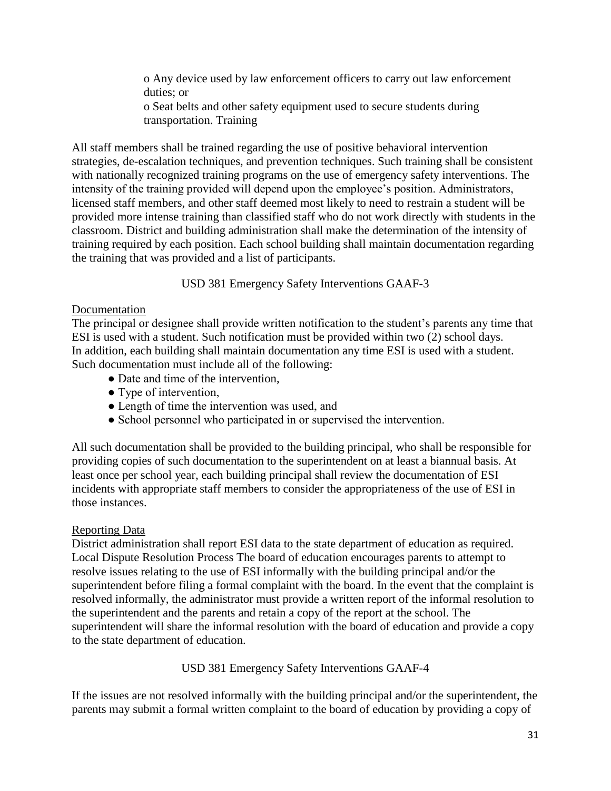o Any device used by law enforcement officers to carry out law enforcement duties; or o Seat belts and other safety equipment used to secure students during transportation. Training

All staff members shall be trained regarding the use of positive behavioral intervention strategies, de-escalation techniques, and prevention techniques. Such training shall be consistent with nationally recognized training programs on the use of emergency safety interventions. The intensity of the training provided will depend upon the employee's position. Administrators, licensed staff members, and other staff deemed most likely to need to restrain a student will be provided more intense training than classified staff who do not work directly with students in the classroom. District and building administration shall make the determination of the intensity of training required by each position. Each school building shall maintain documentation regarding the training that was provided and a list of participants.

USD 381 Emergency Safety Interventions GAAF-3

# Documentation

The principal or designee shall provide written notification to the student's parents any time that ESI is used with a student. Such notification must be provided within two (2) school days. In addition, each building shall maintain documentation any time ESI is used with a student. Such documentation must include all of the following:

- Date and time of the intervention,
- Type of intervention.
- Length of time the intervention was used, and
- School personnel who participated in or supervised the intervention.

All such documentation shall be provided to the building principal, who shall be responsible for providing copies of such documentation to the superintendent on at least a biannual basis. At least once per school year, each building principal shall review the documentation of ESI incidents with appropriate staff members to consider the appropriateness of the use of ESI in those instances.

#### Reporting Data

District administration shall report ESI data to the state department of education as required. Local Dispute Resolution Process The board of education encourages parents to attempt to resolve issues relating to the use of ESI informally with the building principal and/or the superintendent before filing a formal complaint with the board. In the event that the complaint is resolved informally, the administrator must provide a written report of the informal resolution to the superintendent and the parents and retain a copy of the report at the school. The superintendent will share the informal resolution with the board of education and provide a copy to the state department of education.

USD 381 Emergency Safety Interventions GAAF-4

If the issues are not resolved informally with the building principal and/or the superintendent, the parents may submit a formal written complaint to the board of education by providing a copy of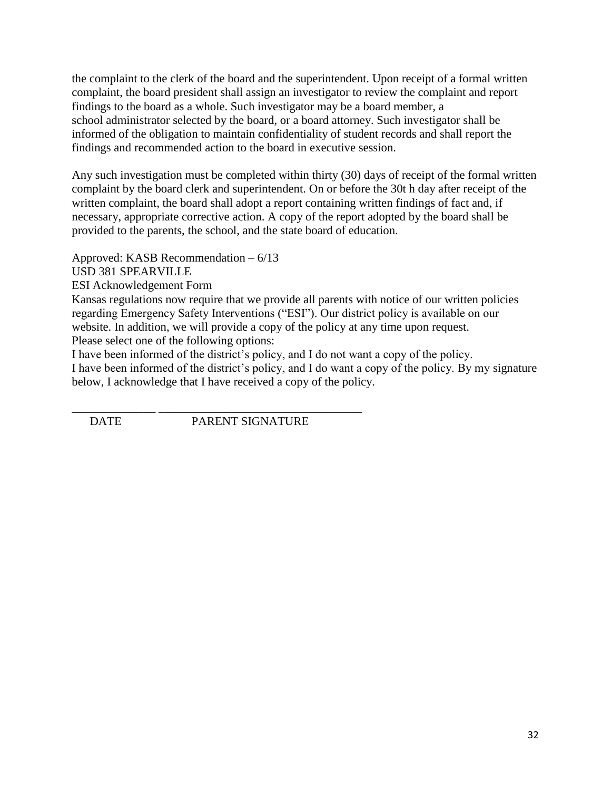the complaint to the clerk of the board and the superintendent. Upon receipt of a formal written complaint, the board president shall assign an investigator to review the complaint and report findings to the board as a whole. Such investigator may be a board member, a school administrator selected by the board, or a board attorney. Such investigator shall be informed of the obligation to maintain confidentiality of student records and shall report the findings and recommended action to the board in executive session.

Any such investigation must be completed within thirty (30) days of receipt of the formal written complaint by the board clerk and superintendent. On or before the 30t h day after receipt of the written complaint, the board shall adopt a report containing written findings of fact and, if necessary, appropriate corrective action. A copy of the report adopted by the board shall be provided to the parents, the school, and the state board of education.

Approved: KASB Recommendation – 6/13

USD 381 SPEARVILLE

ESI Acknowledgement Form

Kansas regulations now require that we provide all parents with notice of our written policies regarding Emergency Safety Interventions ("ESI"). Our district policy is available on our website. In addition, we will provide a copy of the policy at any time upon request. Please select one of the following options:

I have been informed of the district's policy, and I do not want a copy of the policy.

I have been informed of the district's policy, and I do want a copy of the policy. By my signature below, I acknowledge that I have received a copy of the policy.

\_\_\_\_\_\_\_\_\_\_\_\_\_\_ \_\_\_\_\_\_\_\_\_\_\_\_\_\_\_\_\_\_\_\_\_\_\_\_\_\_\_\_\_\_\_\_\_\_ DATE PARENT SIGNATURE